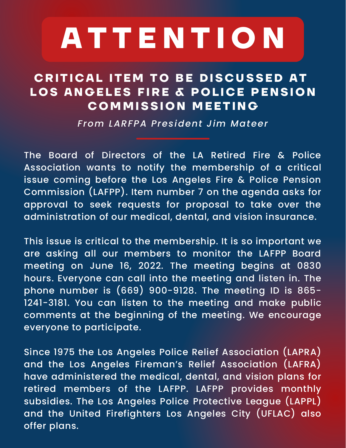## **A T T E N T I O N**

## **C R ITI C A L ITEM T O B E D IS C U SSE D A T L O S AN G ELES F I R E & P O L I C E P ENSI O N C OMMISSI O N MEETIN G**

*From LARFPA President Jim Mateer*

The Board of Directors of the LA Retired Fire & Police Association wants to notify the membership of a critical issue coming before the Los Angeles Fire & Police Pension Commission (LAFPP). Item number 7 on the agenda asks for approval to seek requests for proposal to take over the administration of our medical, dental, and vision insurance.

This issue is critical to the membership. It is so important we are asking all our members to monitor the LAFPP Board meeting on June 16, 2022. The meeting begins at 0830 hours. Everyone can call into the meeting and listen in. The phone number is (669) 900-9128. The meeting ID is 865- 1241-3181. You can listen to the meeting and make public comments at the beginning of the meeting. We encourage everyone to participate.

Since 1975 the Los Angeles Police Relief Association (LAPRA) and the Los Angeles Fireman's Relief Association (LAFRA) have administered the medical, dental, and vision plans for retired members of the LAFPP. LAFPP provides monthly subsidies. The Los Angeles Police Protective League (LAPPL) and the United Firefighters Los Angeles City (UFLAC) also offer plans.